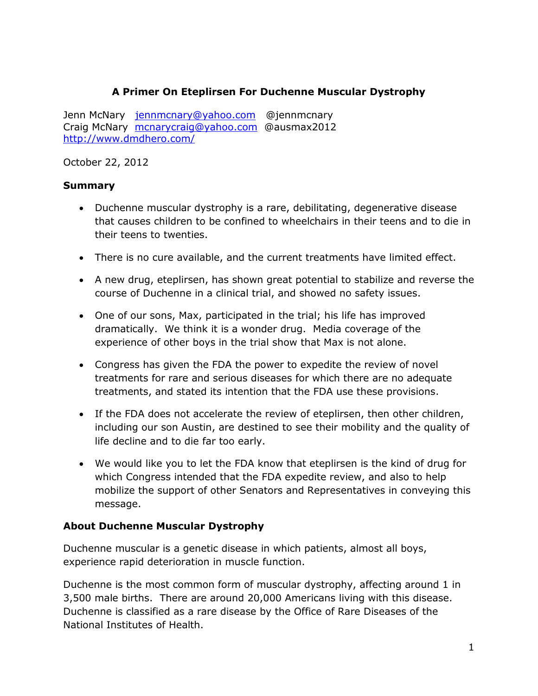## **A Primer On Eteplirsen For Duchenne Muscular Dystrophy**

Jenn McNary [jennmcnary@yahoo.com](mailto:jennmcnary@yahoo.com) @jennmcnary Craig McNary [mcnarycraig@yahoo.com](mailto:mcnarycraig@yahoo.com) @ausmax2012 <http://www.dmdhero.com/>

October 22, 2012

#### **Summary**

- Duchenne muscular dystrophy is a rare, debilitating, degenerative disease that causes children to be confined to wheelchairs in their teens and to die in their teens to twenties.
- There is no cure available, and the current treatments have limited effect.
- A new drug, eteplirsen, has shown great potential to stabilize and reverse the course of Duchenne in a clinical trial, and showed no safety issues.
- One of our sons, Max, participated in the trial; his life has improved dramatically. We think it is a wonder drug. Media coverage of the experience of other boys in the trial show that Max is not alone.
- Congress has given the FDA the power to expedite the review of novel treatments for rare and serious diseases for which there are no adequate treatments, and stated its intention that the FDA use these provisions.
- If the FDA does not accelerate the review of eteplirsen, then other children, including our son Austin, are destined to see their mobility and the quality of life decline and to die far too early.
- We would like you to let the FDA know that eteplirsen is the kind of drug for which Congress intended that the FDA expedite review, and also to help mobilize the support of other Senators and Representatives in conveying this message.

## **About Duchenne Muscular Dystrophy**

Duchenne muscular is a genetic disease in which patients, almost all boys, experience rapid deterioration in muscle function.

Duchenne is the most common form of muscular dystrophy, affecting around 1 in 3,500 male births. There are around 20,000 Americans living with this disease. Duchenne is classified as a rare disease by the Office of Rare Diseases of the National Institutes of Health.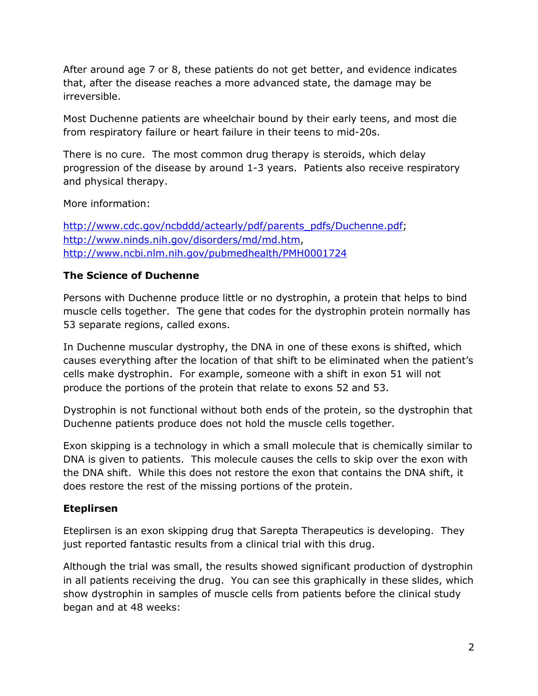After around age 7 or 8, these patients do not get better, and evidence indicates that, after the disease reaches a more advanced state, the damage may be irreversible.

Most Duchenne patients are wheelchair bound by their early teens, and most die from respiratory failure or heart failure in their teens to mid-20s.

There is no cure. The most common drug therapy is steroids, which delay progression of the disease by around 1-3 years. Patients also receive respiratory and physical therapy.

More information:

[http://www.cdc.gov/ncbddd/actearly/pdf/parents\\_pdfs/Duchenne.pdf;](http://www.cdc.gov/ncbddd/actearly/pdf/parents_pdfs/Duchenne.pdf) [http://www.ninds.nih.gov/disorders/md/md.htm,](http://www.ninds.nih.gov/disorders/md/md.htm) <http://www.ncbi.nlm.nih.gov/pubmedhealth/PMH0001724>

## **The Science of Duchenne**

Persons with Duchenne produce little or no dystrophin, a protein that helps to bind muscle cells together. The gene that codes for the dystrophin protein normally has 53 separate regions, called exons.

In Duchenne muscular dystrophy, the DNA in one of these exons is shifted, which causes everything after the location of that shift to be eliminated when the patient's cells make dystrophin. For example, someone with a shift in exon 51 will not produce the portions of the protein that relate to exons 52 and 53.

Dystrophin is not functional without both ends of the protein, so the dystrophin that Duchenne patients produce does not hold the muscle cells together.

Exon skipping is a technology in which a small molecule that is chemically similar to DNA is given to patients. This molecule causes the cells to skip over the exon with the DNA shift. While this does not restore the exon that contains the DNA shift, it does restore the rest of the missing portions of the protein.

## **Eteplirsen**

Eteplirsen is an exon skipping drug that Sarepta Therapeutics is developing. They just reported fantastic results from a clinical trial with this drug.

Although the trial was small, the results showed significant production of dystrophin in all patients receiving the drug. You can see this graphically in these slides, which show dystrophin in samples of muscle cells from patients before the clinical study began and at 48 weeks: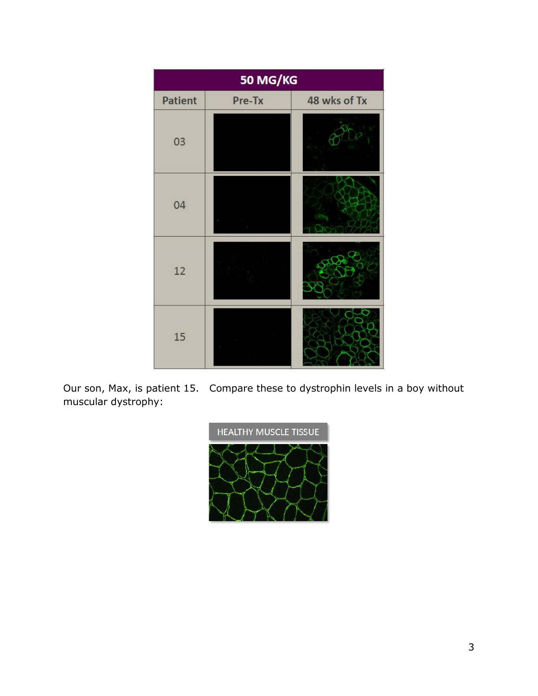| 50 MG/KG       |        |              |
|----------------|--------|--------------|
| <b>Patient</b> | Pre-Tx | 48 wks of Tx |
| 03             |        |              |
| 04             |        |              |
| 12             |        |              |
| 15             |        |              |

Our son, Max, is patient 15. Compare these to dystrophin levels in a boy without muscular dystrophy:

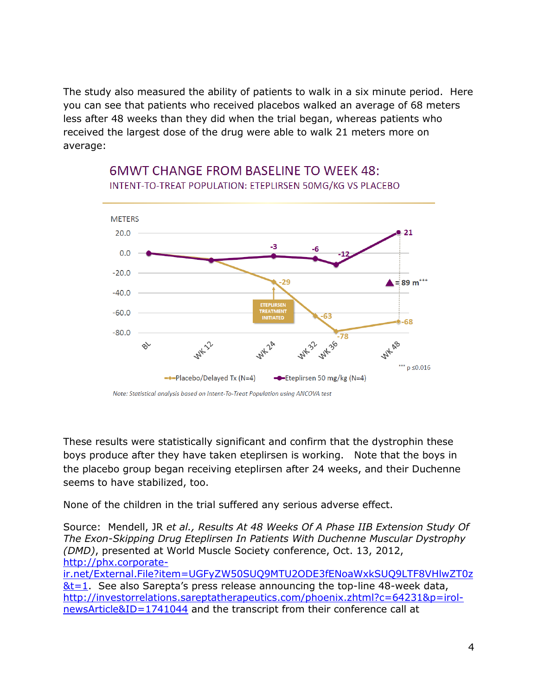The study also measured the ability of patients to walk in a six minute period. Here you can see that patients who received placebos walked an average of 68 meters less after 48 weeks than they did when the trial began, whereas patients who received the largest dose of the drug were able to walk 21 meters more on average:



## **6MWT CHANGE FROM BASELINE TO WEEK 48:** INTENT-TO-TREAT POPULATION: ETEPLIRSEN 50MG/KG VS PLACEBO

These results were statistically significant and confirm that the dystrophin these boys produce after they have taken eteplirsen is working. Note that the boys in the placebo group began receiving eteplirsen after 24 weeks, and their Duchenne seems to have stabilized, too.

None of the children in the trial suffered any serious adverse effect.

Source: Mendell, JR *et al., Results At 48 Weeks Of A Phase IIB Extension Study Of The Exon-Skipping Drug Eteplirsen In Patients With Duchenne Muscular Dystrophy (DMD)*, presented at World Muscle Society conference, Oct. 13, 2012, [http://phx.corporate](http://phx.corporate-ir.net/External.File?item=UGFyZW50SUQ9MTU2ODE3fENoaWxkSUQ9LTF8VHlwZT0z&t=1)[ir.net/External.File?item=UGFyZW50SUQ9MTU2ODE3fENoaWxkSUQ9LTF8VHlwZT0z](http://phx.corporate-ir.net/External.File?item=UGFyZW50SUQ9MTU2ODE3fENoaWxkSUQ9LTF8VHlwZT0z&t=1)  $&t=1$ . See also Sarepta's press release announcing the top-line 48-week data, [http://investorrelations.sareptatherapeutics.com/phoenix.zhtml?c=64231&p=irol](http://investorrelations.sareptatherapeutics.com/phoenix.zhtml?c=64231&p=irol-newsArticle&ID=1741044)[newsArticle&ID=1741044](http://investorrelations.sareptatherapeutics.com/phoenix.zhtml?c=64231&p=irol-newsArticle&ID=1741044) and the transcript from their conference call at

Note: Statistical analysis based on Intent-To-Treat Population using ANCOVA test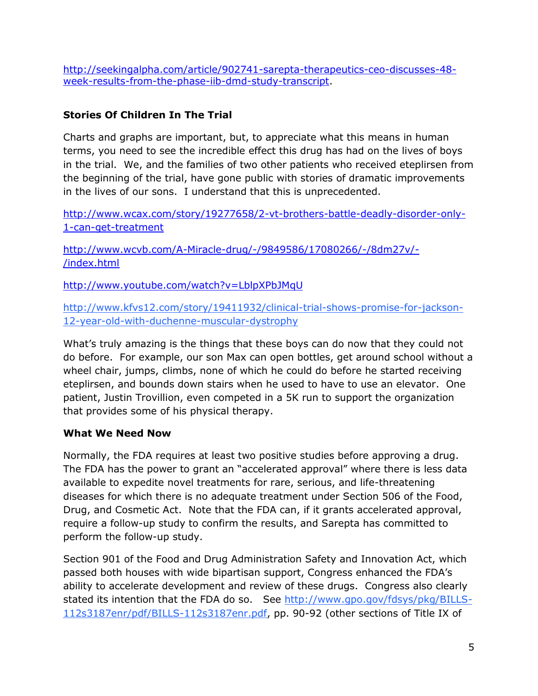[http://seekingalpha.com/article/902741-sarepta-therapeutics-ceo-discusses-48](http://seekingalpha.com/article/902741-sarepta-therapeutics-ceo-discusses-48-week-results-from-the-phase-iib-dmd-study-transcript) [week-results-from-the-phase-iib-dmd-study-transcript.](http://seekingalpha.com/article/902741-sarepta-therapeutics-ceo-discusses-48-week-results-from-the-phase-iib-dmd-study-transcript)

## **Stories Of Children In The Trial**

Charts and graphs are important, but, to appreciate what this means in human terms, you need to see the incredible effect this drug has had on the lives of boys in the trial. We, and the families of two other patients who received eteplirsen from the beginning of the trial, have gone public with stories of dramatic improvements in the lives of our sons. I understand that this is unprecedented.

[http://www.wcax.com/story/19277658/2-vt-brothers-battle-deadly-disorder-only-](http://www.wcax.com/story/19277658/2-vt-brothers-battle-deadly-disorder-only-1-can-get-treatment)[1-can-get-treatment](http://www.wcax.com/story/19277658/2-vt-brothers-battle-deadly-disorder-only-1-can-get-treatment)

[http://www.wcvb.com/A-Miracle-drug/-/9849586/17080266/-/8dm27v/-](http://www.wcvb.com/A-Miracle-drug/-/9849586/17080266/-/8dm27v/-/index.html) [/index.html](http://www.wcvb.com/A-Miracle-drug/-/9849586/17080266/-/8dm27v/-/index.html)

<http://www.youtube.com/watch?v=LblpXPbJMqU>

[http://www.kfvs12.com/story/19411932/clinical-trial-shows-promise-for-jackson-](http://www.kfvs12.com/story/19411932/clinical-trial-shows-promise-for-jackson-12-year-old-with-duchenne-muscular-dystrophy)[12-year-old-with-duchenne-muscular-dystrophy](http://www.kfvs12.com/story/19411932/clinical-trial-shows-promise-for-jackson-12-year-old-with-duchenne-muscular-dystrophy)

What's truly amazing is the things that these boys can do now that they could not do before. For example, our son Max can open bottles, get around school without a wheel chair, jumps, climbs, none of which he could do before he started receiving eteplirsen, and bounds down stairs when he used to have to use an elevator. One patient, Justin Trovillion, even competed in a 5K run to support the organization that provides some of his physical therapy.

## **What We Need Now**

Normally, the FDA requires at least two positive studies before approving a drug. The FDA has the power to grant an "accelerated approval" where there is less data available to expedite novel treatments for rare, serious, and life-threatening diseases for which there is no adequate treatment under Section 506 of the Food, Drug, and Cosmetic Act. Note that the FDA can, if it grants accelerated approval, require a follow-up study to confirm the results, and Sarepta has committed to perform the follow-up study.

Section 901 of the Food and Drug Administration Safety and Innovation Act, which passed both houses with wide bipartisan support, Congress enhanced the FDA's ability to accelerate development and review of these drugs. Congress also clearly stated its intention that the FDA do so. See [http://www.gpo.gov/fdsys/pkg/BILLS-](http://www.gpo.gov/fdsys/pkg/BILLS-112s3187enr/pdf/BILLS-112s3187enr.pdf)[112s3187enr/pdf/BILLS-112s3187enr.pdf,](http://www.gpo.gov/fdsys/pkg/BILLS-112s3187enr/pdf/BILLS-112s3187enr.pdf) pp. 90-92 (other sections of Title IX of